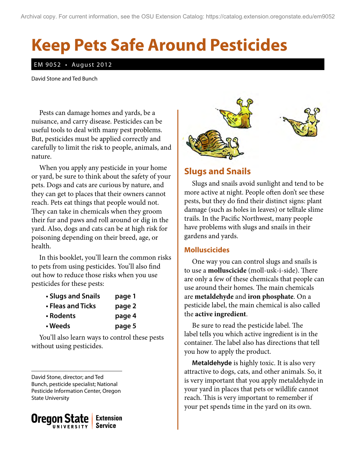# **Keep Pets Safe Around Pesticides**

#### EM 9052 • August 2012

David Stone and Ted Bunch

Pests can damage homes and yards, be a nuisance, and carry disease. Pesticides can be useful tools to deal with many pest problems. But, pesticides must be applied correctly and carefully to limit the risk to people, animals, and nature.

When you apply any pesticide in your home or yard, be sure to think about the safety of your pets. Dogs and cats are curious by nature, and they can get to places that their owners cannot reach. Pets eat things that people would not. They can take in chemicals when they groom their fur and paws and roll around or dig in the yard. Also, dogs and cats can be at high risk for poisoning depending on their breed, age, or health.

In this booklet, you'll learn the common risks to pets from using pesticides. You'll also find out how to reduce those risks when you use pesticides for these pests:

| • Slugs and Snails | page 1 |
|--------------------|--------|
| • Fleas and Ticks  | page 2 |
| • Rodents          | page 4 |
| • Weeds            | page 5 |

You'll also learn ways to control these pests without using pesticides.

David Stone, director; and Ted Bunch, pesticide specialist; National Pesticide Information Center, Oregon State University





## **Slugs and Snails**

Slugs and snails avoid sunlight and tend to be more active at night. People often don't see these pests, but they do find their distinct signs: plant damage (such as holes in leaves) or telltale slime trails. In the Pacific Northwest, many people have problems with slugs and snails in their gardens and yards.

#### **Molluscicides**

One way you can control slugs and snails is to use a **molluscicide** (moll-usk-i-side). There are only a few of these chemicals that people can use around their homes. The main chemicals are **metaldehyde** and **iron phosphate**. On a pesticide label, the main chemical is also called the **active ingredient**.

Be sure to read the pesticide label. The label tells you which active ingredient is in the container. The label also has directions that tell you how to apply the product.

**Metaldehyde** is highly toxic. It is also very attractive to dogs, cats, and other animals. So, it is very important that you apply metaldehyde in your yard in places that pets or wildlife cannot reach. This is very important to remember if your pet spends time in the yard on its own.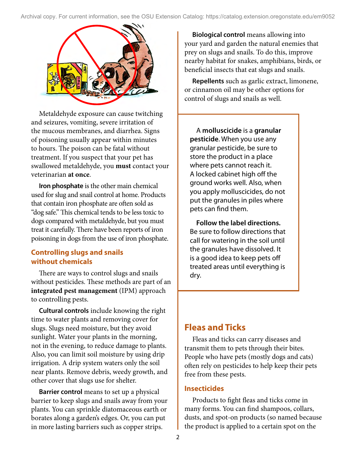

Metaldehyde exposure can cause twitching and seizures, vomiting, severe irritation of the mucous membranes, and diarrhea. Signs of poisoning usually appear within minutes to hours. The poison can be fatal without treatment. If you suspect that your pet has swallowed metaldehyde, you **must** contact your veterinarian **at once**.

**Iron phosphate** is the other main chemical used for slug and snail control at home. Products that contain iron phosphate are often sold as "dog safe." This chemical tends to be less toxic to dogs compared with metaldehyde, but you must treat it carefully. There have been reports of iron poisoning in dogs from the use of iron phosphate.

## **Controlling slugs and snails without chemicals**

There are ways to control slugs and snails without pesticides. These methods are part of an **integrated pest management** (IPM) approach to controlling pests.

**Cultural controls** include knowing the right time to water plants and removing cover for slugs. Slugs need moisture, but they avoid sunlight. Water your plants in the morning, not in the evening, to reduce damage to plants. Also, you can limit soil moisture by using drip irrigation. A drip system waters only the soil near plants. Remove debris, weedy growth, and other cover that slugs use for shelter.

**Barrier control** means to set up a physical barrier to keep slugs and snails away from your plants. You can sprinkle diatomaceous earth or borates along a garden's edges. Or, you can put in more lasting barriers such as copper strips.

**Biological control** means allowing into your yard and garden the natural enemies that prey on slugs and snails. To do this, improve nearby habitat for snakes, amphibians, birds, or beneficial insects that eat slugs and snails.

**Repellents** such as garlic extract, limonene, or cinnamon oil may be other options for control of slugs and snails as well.

A **molluscicide** is a **granular pesticide**. When you use any granular pesticide, be sure to store the product in a place where pets cannot reach it. A locked cabinet high off the ground works well. Also, when you apply molluscicides, do not put the granules in piles where pets can find them.

**Follow the label directions.** Be sure to follow directions that call for watering in the soil until the granules have dissolved. It is a good idea to keep pets off treated areas until everything is dry.

## **Fleas and Ticks**

Fleas and ticks can carry diseases and transmit them to pets through their bites. People who have pets (mostly dogs and cats) often rely on pesticides to help keep their pets free from these pests.

### **Insecticides**

Products to fight fleas and ticks come in many forms. You can find shampoos, collars, dusts, and spot-on products (so named because the product is applied to a certain spot on the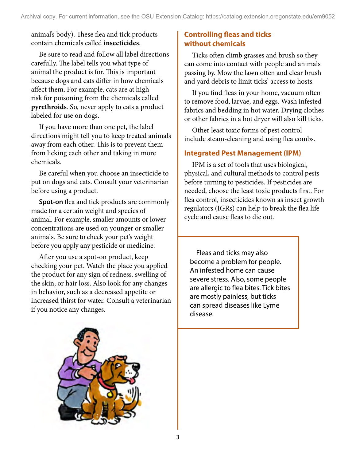animal's body). These flea and tick products contain chemicals called **insecticides**.

Be sure to read and follow all label directions carefully. The label tells you what type of animal the product is for. This is important because dogs and cats differ in how chemicals affect them. For example, cats are at high risk for poisoning from the chemicals called **pyrethroids**. So, never apply to cats a product labeled for use on dogs.

If you have more than one pet, the label directions might tell you to keep treated animals away from each other. This is to prevent them from licking each other and taking in more chemicals.

Be careful when you choose an insecticide to put on dogs and cats. Consult your veterinarian before using a product.

**Spot-on** flea and tick products are commonly made for a certain weight and species of animal. For example, smaller amounts or lower concentrations are used on younger or smaller animals. Be sure to check your pet's weight before you apply any pesticide or medicine.

After you use a spot-on product, keep checking your pet. Watch the place you applied the product for any sign of redness, swelling of the skin, or hair loss. Also look for any changes in behavior, such as a decreased appetite or increased thirst for water. Consult a veterinarian if you notice any changes.

## **Controlling fleas and ticks without chemicals**

Ticks often climb grasses and brush so they can come into contact with people and animals passing by. Mow the lawn often and clear brush and yard debris to limit ticks' access to hosts.

If you find fleas in your home, vacuum often to remove food, larvae, and eggs. Wash infested fabrics and bedding in hot water. Drying clothes or other fabrics in a hot dryer will also kill ticks.

Other least toxic forms of pest control include steam-cleaning and using flea combs.

## **Integrated Pest Management (IPM)**

IPM is a set of tools that uses biological, physical, and cultural methods to control pests before turning to pesticides. If pesticides are needed, choose the least toxic products first. For flea control, insecticides known as insect growth regulators (IGRs) can help to break the flea life cycle and cause fleas to die out.

Fleas and ticks may also become a problem for people. An infested home can cause severe stress. Also, some people are allergic to flea bites. Tick bites are mostly painless, but ticks can spread diseases like Lyme disease.

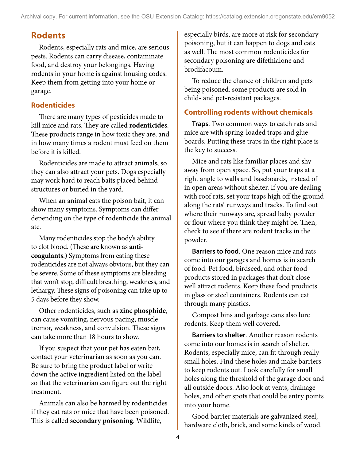Archival copy. For current information, see the OSU Extension Catalog: https://catalog.extension.oregonstate.edu/em9052

# **Rodents**

Rodents, especially rats and mice, are serious pests. Rodents can carry disease, contaminate food, and destroy your belongings. Having rodents in your home is against housing codes. Keep them from getting into your home or garage.

## **Rodenticides**

There are many types of pesticides made to kill mice and rats. They are called **rodenticides**. These products range in how toxic they are, and in how many times a rodent must feed on them before it is killed.

Rodenticides are made to attract animals, so they can also attract your pets. Dogs especially may work hard to reach baits placed behind structures or buried in the yard.

When an animal eats the poison bait, it can show many symptoms. Symptoms can differ depending on the type of rodenticide the animal ate.

Many rodenticides stop the body's ability to clot blood. (These are known as **anticoagulants**.) Symptoms from eating these rodenticides are not always obvious, but they can be severe. Some of these symptoms are bleeding that won't stop, difficult breathing, weakness, and lethargy. These signs of poisoning can take up to 5 days before they show.

Other rodenticides, such as **zinc phosphide**, can cause vomiting, nervous pacing, muscle tremor, weakness, and convulsion. These signs can take more than 18 hours to show.

If you suspect that your pet has eaten bait, contact your veterinarian as soon as you can. Be sure to bring the product label or write down the active ingredient listed on the label so that the veterinarian can figure out the right treatment.

Animals can also be harmed by rodenticides if they eat rats or mice that have been poisoned. This is called **secondary poisoning**. Wildlife,

especially birds, are more at risk for secondary poisoning, but it can happen to dogs and cats as well. The most common rodenticides for secondary poisoning are difethialone and brodifacoum.

To reduce the chance of children and pets being poisoned, some products are sold in child- and pet-resistant packages.

## **Controlling rodents without chemicals**

**Traps**. Two common ways to catch rats and mice are with spring-loaded traps and glueboards. Putting these traps in the right place is the key to success.

Mice and rats like familiar places and shy away from open space. So, put your traps at a right angle to walls and baseboards, instead of in open areas without shelter. If you are dealing with roof rats, set your traps high off the ground along the rats' runways and tracks. To find out where their runways are, spread baby powder or flour where you think they might be. Then, check to see if there are rodent tracks in the powder.

**Barriers to food**. One reason mice and rats come into our garages and homes is in search of food. Pet food, birdseed, and other food products stored in packages that don't close well attract rodents. Keep these food products in glass or steel containers. Rodents can eat through many plastics.

Compost bins and garbage cans also lure rodents. Keep them well covered.

**Barriers to shelter**. Another reason rodents come into our homes is in search of shelter. Rodents, especially mice, can fit through really small holes. Find these holes and make barriers to keep rodents out. Look carefully for small holes along the threshold of the garage door and all outside doors. Also look at vents, drainage holes, and other spots that could be entry points into your home.

Good barrier materials are galvanized steel, hardware cloth, brick, and some kinds of wood.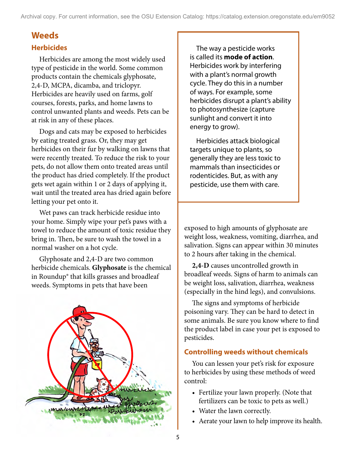## **Weeds**

## **Herbicides**

Herbicides are among the most widely used type of pesticide in the world. Some common products contain the chemicals glyphosate, 2,4-D, MCPA, dicamba, and triclopyr. Herbicides are heavily used on farms, golf courses, forests, parks, and home lawns to control unwanted plants and weeds. Pets can be at risk in any of these places.

Dogs and cats may be exposed to herbicides by eating treated grass. Or, they may get herbicides on their fur by walking on lawns that were recently treated. To reduce the risk to your pets, do not allow them onto treated areas until the product has dried completely. If the product gets wet again within 1 or 2 days of applying it, wait until the treated area has dried again before letting your pet onto it.

Wet paws can track herbicide residue into your home. Simply wipe your pet's paws with a towel to reduce the amount of toxic residue they bring in. Then, be sure to wash the towel in a normal washer on a hot cycle.

Glyphosate and 2,4-D are two common herbicide chemicals. **Glyphosate** is the chemical in Roundup® that kills grasses and broadleaf weeds. Symptoms in pets that have been



The way a pesticide works is called its **mode of action**. Herbicides work by interfering with a plant's normal growth cycle. They do this in a number of ways. For example, some herbicides disrupt a plant's ability to photosynthesize (capture sunlight and convert it into energy to grow).

Herbicides attack biological targets unique to plants, so generally they are less toxic to mammals than insecticides or rodenticides. But, as with any pesticide, use them with care.

exposed to high amounts of glyphosate are weight loss, weakness, vomiting, diarrhea, and salivation. Signs can appear within 30 minutes to 2 hours after taking in the chemical.

**2,4-D** causes uncontrolled growth in broadleaf weeds. Signs of harm to animals can be weight loss, salivation, diarrhea, weakness (especially in the hind legs), and convulsions.

The signs and symptoms of herbicide poisoning vary. They can be hard to detect in some animals. Be sure you know where to find the product label in case your pet is exposed to pesticides.

### **Controlling weeds without chemicals**

You can lessen your pet's risk for exposure to herbicides by using these methods of weed control:

- Fertilize your lawn properly. (Note that fertilizers can be toxic to pets as well.)
- Water the lawn correctly.
- • Aerate your lawn to help improve its health.